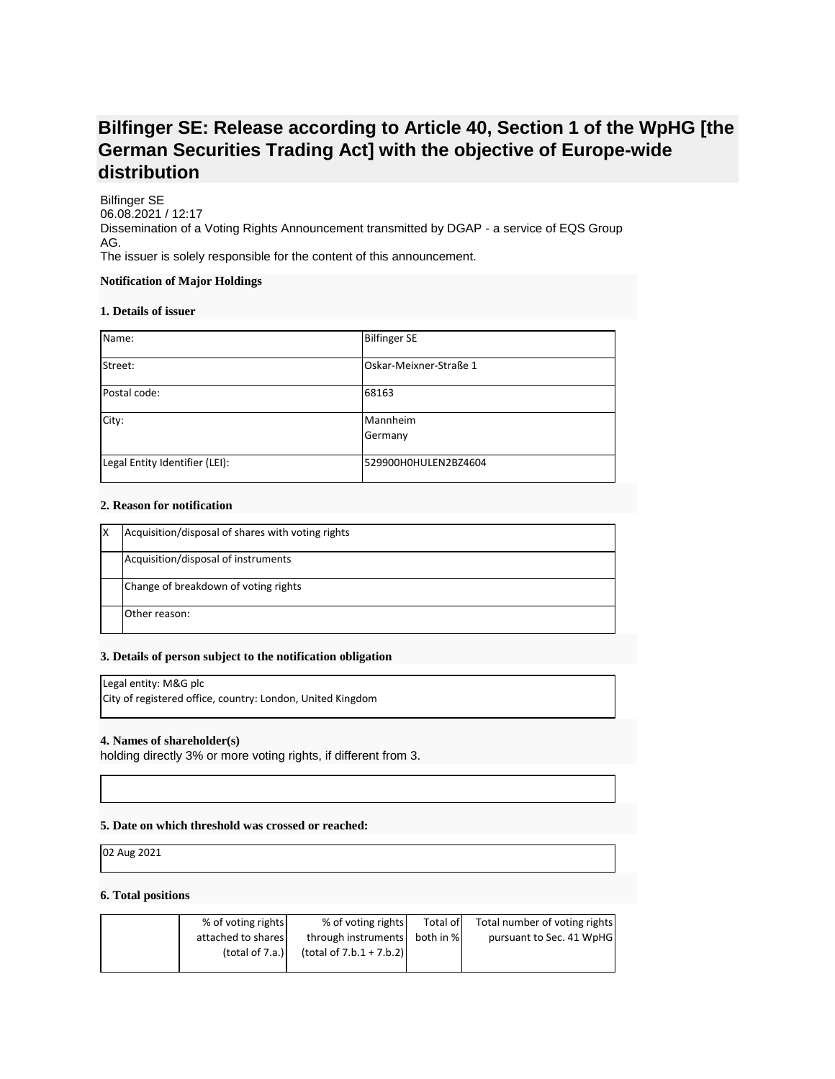# **Bilfinger SE: Release according to Article 40, Section 1 of the WpHG [the German Securities Trading Act] with the objective of Europe-wide distribution**

Bilfinger SE 06.08.2021 / 12:17 Dissemination of a Voting Rights Announcement transmitted by DGAP - a service of EQS Group AG. The issuer is solely responsible for the content of this announcement.

#### **Notification of Major Holdings**

#### **1. Details of issuer**

| Name:                          | <b>Bilfinger SE</b>    |
|--------------------------------|------------------------|
| Street:                        | Oskar-Meixner-Straße 1 |
| Postal code:                   | 68163                  |
| City:                          | Mannheim<br>Germany    |
| Legal Entity Identifier (LEI): | 529900H0HULEN2BZ4604   |

### **2. Reason for notification**

| ıΧ | Acquisition/disposal of shares with voting rights |
|----|---------------------------------------------------|
|    | Acquisition/disposal of instruments               |
|    | Change of breakdown of voting rights              |
|    | Other reason:                                     |

#### **3. Details of person subject to the notification obligation**

Legal entity: M&G plc

City of registered office, country: London, United Kingdom

#### **4. Names of shareholder(s)**

holding directly 3% or more voting rights, if different from 3.

## **5. Date on which threshold was crossed or reached:**

02 Aug 2021

#### **6. Total positions**

| % of voting rights | % of voting rights            | Total of | Total number of voting rights |
|--------------------|-------------------------------|----------|-------------------------------|
| attached to shares | through instruments both in % |          | pursuant to Sec. 41 WpHG      |
| (total of $7.a.$ ) | $(total of 7.b.1 + 7.b.2)$    |          |                               |
|                    |                               |          |                               |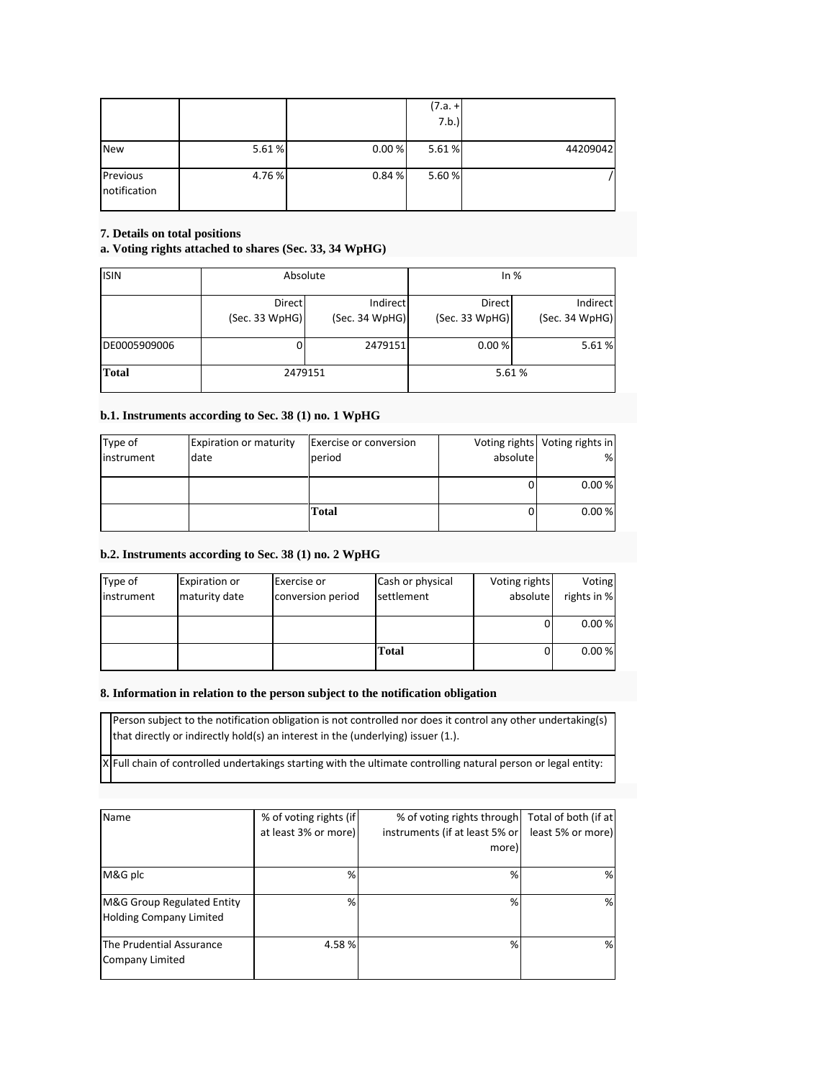|                          |       |        | $(7.a. +$<br>7.b.) |          |
|--------------------------|-------|--------|--------------------|----------|
| <b>New</b>               | 5.61% | 0.00%  | 5.61%              | 44209042 |
| Previous<br>notification | 4.76% | 0.84 % | 5.60%              |          |

## **7. Details on total positions**

## **a. Voting rights attached to shares (Sec. 33, 34 WpHG)**

| <b>ISIN</b>  | Absolute                 |                            | In%                      |                            |
|--------------|--------------------------|----------------------------|--------------------------|----------------------------|
|              | Direct<br>(Sec. 33 WpHG) | Indirect<br>(Sec. 34 WpHG) | Direct<br>(Sec. 33 WpHG) | Indirect<br>(Sec. 34 WpHG) |
| DE0005909006 |                          | 2479151                    | 0.00%                    | 5.61%                      |
| <b>Total</b> | 2479151                  |                            | 5.61%                    |                            |

## **b.1. Instruments according to Sec. 38 (1) no. 1 WpHG**

| Type of    | <b>Expiration or maturity</b> | Exercise or conversion |          | Voting rights Voting rights in |
|------------|-------------------------------|------------------------|----------|--------------------------------|
| instrument | date                          | period                 | absolute | %                              |
|            |                               |                        |          |                                |
|            |                               |                        |          | 0.00%                          |
|            |                               |                        |          |                                |
|            |                               | Total                  |          | 0.00 %                         |
|            |                               |                        |          |                                |

## **b.2. Instruments according to Sec. 38 (1) no. 2 WpHG**

| Type of    | <b>Expiration or</b> | <b>Exercise or</b> | Cash or physical | Voting rights | Voting      |
|------------|----------------------|--------------------|------------------|---------------|-------------|
| instrument | maturity date        | conversion period  | settlement       | absolute      | rights in % |
|            |                      |                    |                  |               |             |
|            |                      |                    |                  |               | 0.00%       |
|            |                      |                    |                  |               |             |
|            |                      |                    | Total            |               | 0.00%       |
|            |                      |                    |                  |               |             |

#### **8. Information in relation to the person subject to the notification obligation**

Person subject to the notification obligation is not controlled nor does it control any other undertaking(s) that directly or indirectly hold(s) an interest in the (underlying) issuer (1.).

 $\overline{X}$  Full chain of controlled undertakings starting with the ultimate controlling natural person or legal entity:

| Name                                                         | % of voting rights (if | % of voting rights through   Total of both (if at |                   |
|--------------------------------------------------------------|------------------------|---------------------------------------------------|-------------------|
|                                                              | at least 3% or more)   | instruments (if at least 5% or                    | least 5% or more) |
|                                                              |                        | more)                                             |                   |
| M&G plc                                                      | $\frac{9}{6}$          | %                                                 | %                 |
| M&G Group Regulated Entity<br><b>Holding Company Limited</b> | %                      | %                                                 | %                 |
| The Prudential Assurance<br>Company Limited                  | 4.58%                  | %                                                 | %                 |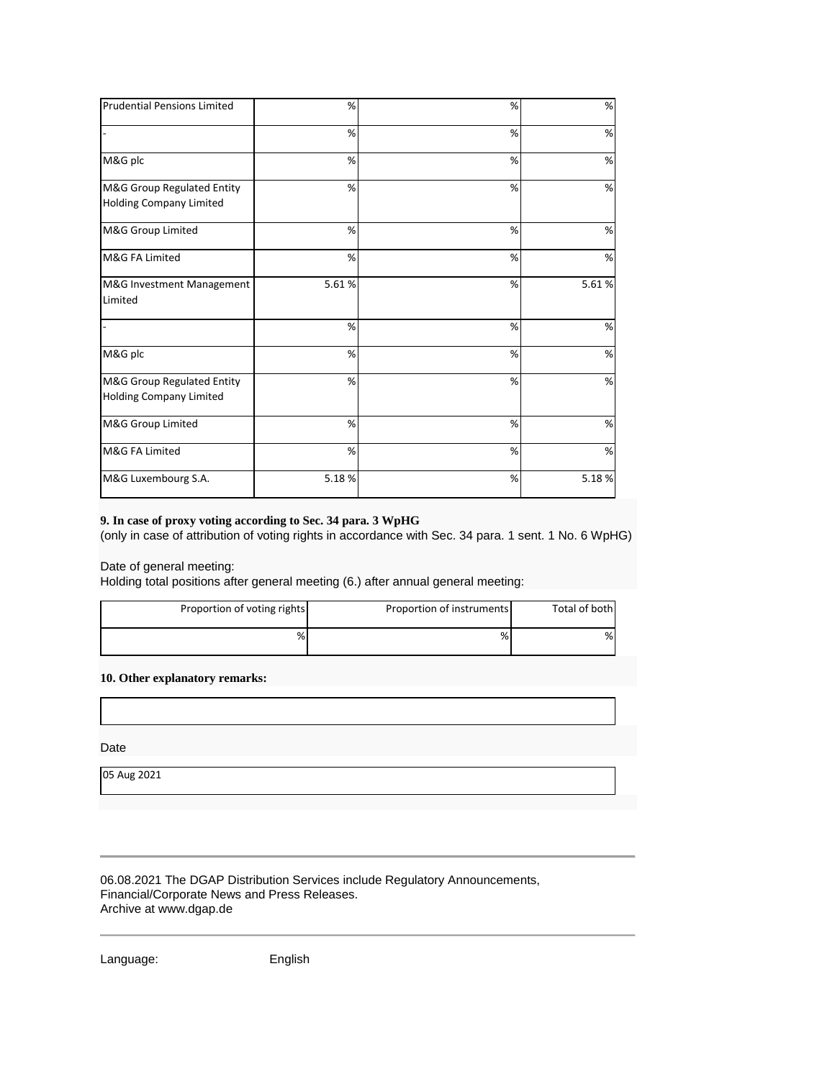| <b>Prudential Pensions Limited</b>                    | %     | % | %     |
|-------------------------------------------------------|-------|---|-------|
|                                                       | %     | % | %     |
| M&G plc                                               | %     | % | %     |
| M&G Group Regulated Entity<br>Holding Company Limited | %     | % | %     |
| M&G Group Limited                                     | %     | % | %     |
| M&G FA Limited                                        | %     | % | %     |
| M&G Investment Management<br>Limited                  | 5.61% | % | 5.61% |
|                                                       | %     | % | %     |
| M&G plc                                               | %     | % | %     |
| M&G Group Regulated Entity<br>Holding Company Limited | %     | % | %     |
| M&G Group Limited                                     | %     | % | %     |
| M&G FA Limited                                        | %     | % | %     |
| M&G Luxembourg S.A.                                   | 5.18% | % | 5.18% |

## **9. In case of proxy voting according to Sec. 34 para. 3 WpHG**

(only in case of attribution of voting rights in accordance with Sec. 34 para. 1 sent. 1 No. 6 WpHG)

Date of general meeting:

Holding total positions after general meeting (6.) after annual general meeting:

| Proportion of voting rights | Proportion of instruments | Total of both |
|-----------------------------|---------------------------|---------------|
| %                           | %                         | %             |

**10. Other explanatory remarks:**

Date

05 Aug 2021

06.08.2021 The DGAP Distribution Services include Regulatory Announcements, Financial/Corporate News and Press Releases. Archive at www.dgap.de

Language: English